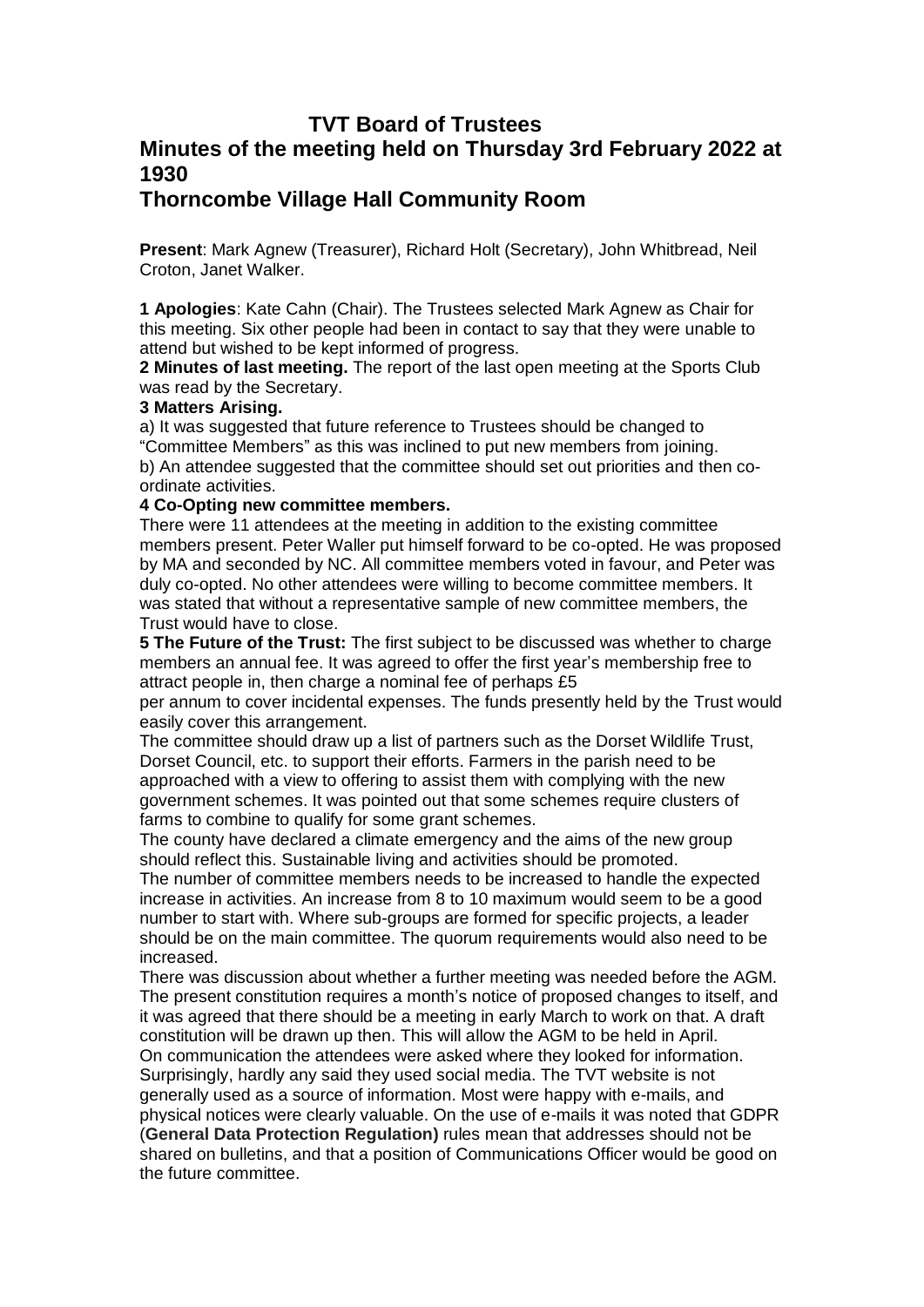## **TVT Board of Trustees Minutes of the meeting held on Thursday 3rd February 2022 at 1930**

## **Thorncombe Village Hall Community Room**

**Present**: Mark Agnew (Treasurer), Richard Holt (Secretary), John Whitbread, Neil Croton, Janet Walker.

**1 Apologies**: Kate Cahn (Chair). The Trustees selected Mark Agnew as Chair for this meeting. Six other people had been in contact to say that they were unable to attend but wished to be kept informed of progress.

**2 Minutes of last meeting.** The report of the last open meeting at the Sports Club was read by the Secretary.

## **3 Matters Arising.**

a) It was suggested that future reference to Trustees should be changed to "Committee Members" as this was inclined to put new members from joining. b) An attendee suggested that the committee should set out priorities and then coordinate activities.

## **4 Co-Opting new committee members.**

There were 11 attendees at the meeting in addition to the existing committee members present. Peter Waller put himself forward to be co-opted. He was proposed by MA and seconded by NC. All committee members voted in favour, and Peter was duly co-opted. No other attendees were willing to become committee members. It was stated that without a representative sample of new committee members, the Trust would have to close.

**5 The Future of the Trust:** The first subject to be discussed was whether to charge members an annual fee. It was agreed to offer the first year's membership free to attract people in, then charge a nominal fee of perhaps £5

per annum to cover incidental expenses. The funds presently held by the Trust would easily cover this arrangement.

The committee should draw up a list of partners such as the Dorset Wildlife Trust, Dorset Council, etc. to support their efforts. Farmers in the parish need to be approached with a view to offering to assist them with complying with the new government schemes. It was pointed out that some schemes require clusters of farms to combine to qualify for some grant schemes.

The county have declared a climate emergency and the aims of the new group should reflect this. Sustainable living and activities should be promoted.

The number of committee members needs to be increased to handle the expected increase in activities. An increase from 8 to 10 maximum would seem to be a good number to start with. Where sub-groups are formed for specific projects, a leader should be on the main committee. The quorum requirements would also need to be increased.

There was discussion about whether a further meeting was needed before the AGM. The present constitution requires a month's notice of proposed changes to itself, and it was agreed that there should be a meeting in early March to work on that. A draft constitution will be drawn up then. This will allow the AGM to be held in April. On communication the attendees were asked where they looked for information. Surprisingly, hardly any said they used social media. The TVT website is not generally used as a source of information. Most were happy with e-mails, and physical notices were clearly valuable. On the use of e-mails it was noted that GDPR (**General Data Protection Regulation)** rules mean that addresses should not be shared on bulletins, and that a position of Communications Officer would be good on the future committee.